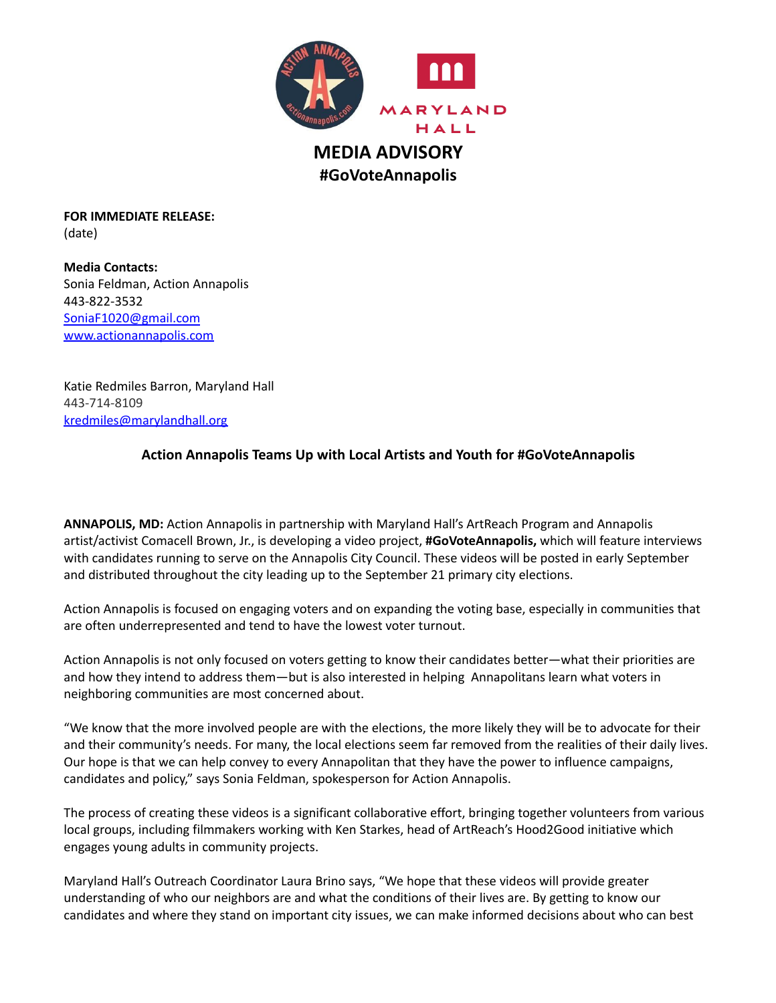

**FOR IMMEDIATE RELEASE:** (date)

**Media Contacts:** Sonia Feldman, Action Annapolis 443-822-3532 [SoniaF1020@gmail.com](mailto:SoniaF1020@gmail.com) www.actionannapolis.com

Katie Redmiles Barron, Maryland Hall 443-714-8109 [kredmiles@marylandhall.org](mailto:kredmiles@marylandhall.org)

## **Action Annapolis Teams Up with Local Artists and Youth for #GoVoteAnnapolis**

**ANNAPOLIS, MD:** Action Annapolis in partnership with Maryland Hall's ArtReach Program and Annapolis artist/activist Comacell Brown, Jr., is developing a video project, **#GoVoteAnnapolis,** which will feature interviews with candidates running to serve on the Annapolis City Council. These videos will be posted in early September and distributed throughout the city leading up to the September 21 primary city elections.

Action Annapolis is focused on engaging voters and on expanding the voting base, especially in communities that are often underrepresented and tend to have the lowest voter turnout.

Action Annapolis is not only focused on voters getting to know their candidates better—what their priorities are and how they intend to address them—but is also interested in helping Annapolitans learn what voters in neighboring communities are most concerned about.

"We know that the more involved people are with the elections, the more likely they will be to advocate for their and their community's needs. For many, the local elections seem far removed from the realities of their daily lives. Our hope is that we can help convey to every Annapolitan that they have the power to influence campaigns, candidates and policy," says Sonia Feldman, spokesperson for Action Annapolis.

The process of creating these videos is a significant collaborative effort, bringing together volunteers from various local groups, including filmmakers working with Ken Starkes, head of ArtReach's Hood2Good initiative which engages young adults in community projects.

Maryland Hall's Outreach Coordinator Laura Brino says, "We hope that these videos will provide greater understanding of who our neighbors are and what the conditions of their lives are. By getting to know our candidates and where they stand on important city issues, we can make informed decisions about who can best